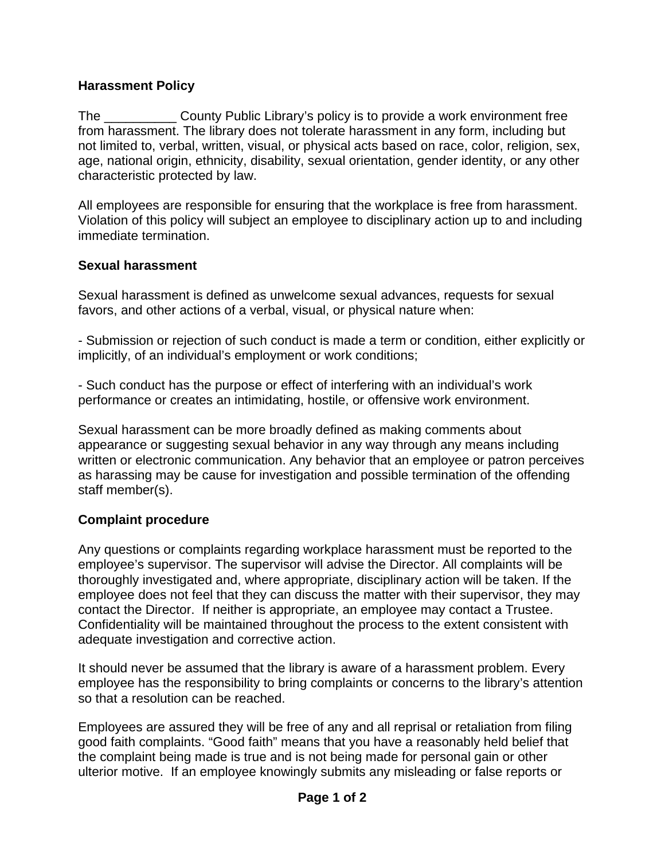## **Harassment Policy**

The County Public Library's policy is to provide a work environment free from harassment. The library does not tolerate harassment in any form, including but not limited to, verbal, written, visual, or physical acts based on race, color, religion, sex, age, national origin, ethnicity, disability, sexual orientation, gender identity, or any other characteristic protected by law.

All employees are responsible for ensuring that the workplace is free from harassment. Violation of this policy will subject an employee to disciplinary action up to and including immediate termination.

## **Sexual harassment**

Sexual harassment is defined as unwelcome sexual advances, requests for sexual favors, and other actions of a verbal, visual, or physical nature when:

- Submission or rejection of such conduct is made a term or condition, either explicitly or implicitly, of an individual's employment or work conditions;

- Such conduct has the purpose or effect of interfering with an individual's work performance or creates an intimidating, hostile, or offensive work environment.

Sexual harassment can be more broadly defined as making comments about appearance or suggesting sexual behavior in any way through any means including written or electronic communication. Any behavior that an employee or patron perceives as harassing may be cause for investigation and possible termination of the offending staff member(s).

## **Complaint procedure**

Any questions or complaints regarding workplace harassment must be reported to the employee's supervisor. The supervisor will advise the Director. All complaints will be thoroughly investigated and, where appropriate, disciplinary action will be taken. If the employee does not feel that they can discuss the matter with their supervisor, they may contact the Director. If neither is appropriate, an employee may contact a Trustee. Confidentiality will be maintained throughout the process to the extent consistent with adequate investigation and corrective action.

It should never be assumed that the library is aware of a harassment problem. Every employee has the responsibility to bring complaints or concerns to the library's attention so that a resolution can be reached.

Employees are assured they will be free of any and all reprisal or retaliation from filing good faith complaints. "Good faith" means that you have a reasonably held belief that the complaint being made is true and is not being made for personal gain or other ulterior motive. If an employee knowingly submits any misleading or false reports or